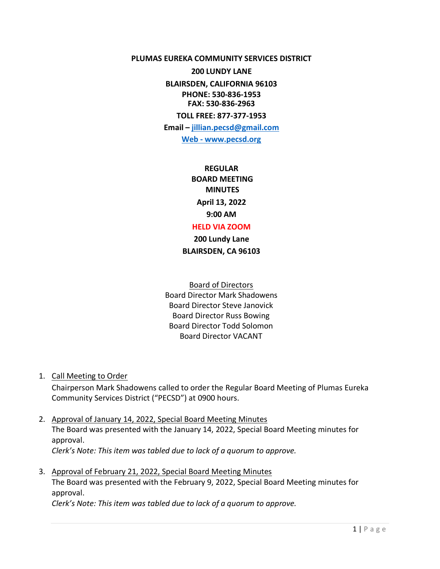**PLUMAS EUREKA COMMUNITY SERVICES DISTRICT** 

**200 LUNDY LANE** 

**BLAIRSDEN, CALIFORNIA 96103 PHONE: 530-836-1953 FAX: 530-836-2963**

**TOLL FREE: 877-377-1953**

**Email – [jillian.pecsd@gmail.com](mailto:jillian.pecsd@gmail.com) Web - www.pecsd.org**

> **REGULAR BOARD MEETING MINUTES April 13, 2022 9:00 AM**

#### **HELD VIA ZOOM**

**200 Lundy Lane BLAIRSDEN, CA 96103**

Board of Directors Board Director Mark Shadowens Board Director Steve Janovick Board Director Russ Bowing Board Director Todd Solomon Board Director VACANT

1. Call Meeting to Order

Chairperson Mark Shadowens called to order the Regular Board Meeting of Plumas Eureka Community Services District ("PECSD") at 0900 hours.

2. Approval of January 14, 2022, Special Board Meeting Minutes The Board was presented with the January 14, 2022, Special Board Meeting minutes for approval. *Clerk's Note: This item was tabled due to lack of a quorum to approve.*

3. Approval of February 21, 2022, Special Board Meeting Minutes The Board was presented with the February 9, 2022, Special Board Meeting minutes for approval. *Clerk's Note: This item was tabled due to lack of a quorum to approve.*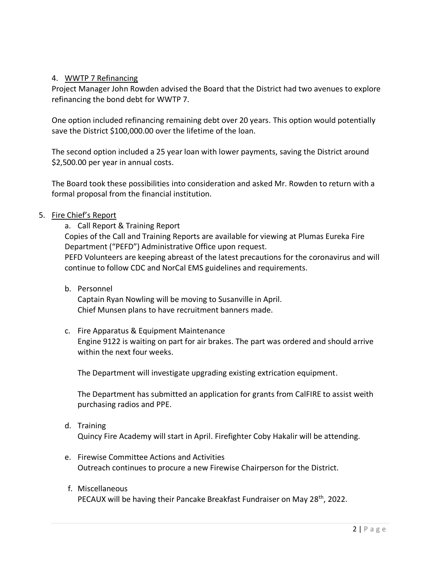#### 4. WWTP 7 Refinancing

Project Manager John Rowden advised the Board that the District had two avenues to explore refinancing the bond debt for WWTP 7.

One option included refinancing remaining debt over 20 years. This option would potentially save the District \$100,000.00 over the lifetime of the loan.

The second option included a 25 year loan with lower payments, saving the District around \$2,500.00 per year in annual costs.

The Board took these possibilities into consideration and asked Mr. Rowden to return with a formal proposal from the financial institution.

### 5. Fire Chief's Report

a. Call Report & Training Report Copies of the Call and Training Reports are available for viewing at Plumas Eureka Fire Department ("PEFD") Administrative Office upon request. PEFD Volunteers are keeping abreast of the latest precautions for the coronavirus and will continue to follow CDC and NorCal EMS guidelines and requirements.

b. Personnel

Captain Ryan Nowling will be moving to Susanville in April. Chief Munsen plans to have recruitment banners made.

c. Fire Apparatus & Equipment Maintenance Engine 9122 is waiting on part for air brakes. The part was ordered and should arrive within the next four weeks.

The Department will investigate upgrading existing extrication equipment.

The Department has submitted an application for grants from CalFIRE to assist weith purchasing radios and PPE.

- d. Training Quincy Fire Academy will start in April. Firefighter Coby Hakalir will be attending.
- e. Firewise Committee Actions and Activities Outreach continues to procure a new Firewise Chairperson for the District.
- f. Miscellaneous PECAUX will be having their Pancake Breakfast Fundraiser on May 28<sup>th</sup>, 2022.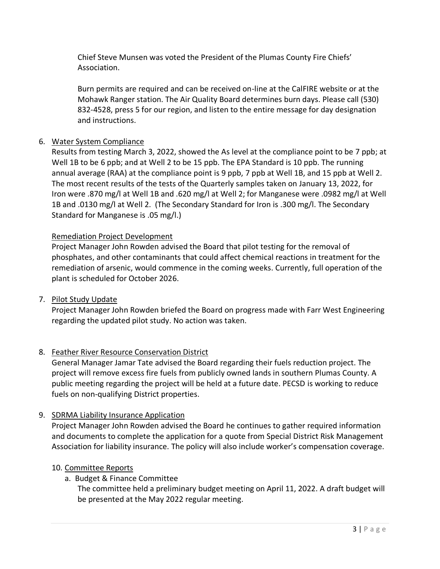Chief Steve Munsen was voted the President of the Plumas County Fire Chiefs' Association.

Burn permits are required and can be received on-line at the CalFIRE website or at the Mohawk Ranger station. The Air Quality Board determines burn days. Please call (530) 832-4528, press 5 for our region, and listen to the entire message for day designation and instructions.

# 6. Water System Compliance

Results from testing March 3, 2022, showed the As level at the compliance point to be 7 ppb; at Well 1B to be 6 ppb; and at Well 2 to be 15 ppb. The EPA Standard is 10 ppb. The running annual average (RAA) at the compliance point is 9 ppb, 7 ppb at Well 1B, and 15 ppb at Well 2. The most recent results of the tests of the Quarterly samples taken on January 13, 2022, for Iron were .870 mg/l at Well 1B and .620 mg/l at Well 2; for Manganese were .0982 mg/l at Well 1B and .0130 mg/l at Well 2. (The Secondary Standard for Iron is .300 mg/l. The Secondary Standard for Manganese is .05 mg/l.)

### Remediation Project Development

Project Manager John Rowden advised the Board that pilot testing for the removal of phosphates, and other contaminants that could affect chemical reactions in treatment for the remediation of arsenic, would commence in the coming weeks. Currently, full operation of the plant is scheduled for October 2026.

# 7. Pilot Study Update

Project Manager John Rowden briefed the Board on progress made with Farr West Engineering regarding the updated pilot study. No action was taken.

# 8. Feather River Resource Conservation District

General Manager Jamar Tate advised the Board regarding their fuels reduction project. The project will remove excess fire fuels from publicly owned lands in southern Plumas County. A public meeting regarding the project will be held at a future date. PECSD is working to reduce fuels on non-qualifying District properties.

# 9. SDRMA Liability Insurance Application

Project Manager John Rowden advised the Board he continues to gather required information and documents to complete the application for a quote from Special District Risk Management Association for liability insurance. The policy will also include worker's compensation coverage.

# 10. Committee Reports

# a. Budget & Finance Committee

The committee held a preliminary budget meeting on April 11, 2022. A draft budget will be presented at the May 2022 regular meeting.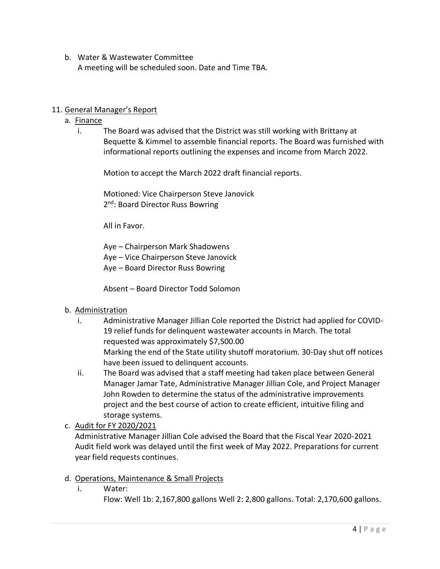### b. Water & Wastewater Committee

A meeting will be scheduled soon. Date and Time TBA.

### 11. General Manager's Report

- a. Finance
	- i. The Board was advised that the District was still working with Brittany at Bequette & Kimmel to assemble financial reports. The Board was furnished with informational reports outlining the expenses and income from March 2022.

Motion to accept the March 2022 draft financial reports.

Motioned: Vice Chairperson Steve Janovick 2<sup>nd</sup>: Board Director Russ Bowring

All in Favor.

Aye – Chairperson Mark Shadowens Aye – Vice Chairperson Steve Janovick Aye – Board Director Russ Bowring

Absent – Board Director Todd Solomon

#### b. Administration

- i. Administrative Manager Jillian Cole reported the District had applied for COVID-19 relief funds for delinquent wastewater accounts in March. The total requested was approximately \$7,500.00 Marking the end of the State utility shutoff moratorium. 30-Day shut off notices have been issued to delinquent accounts.
- ii. The Board was advised that a staff meeting had taken place between General Manager Jamar Tate, Administrative Manager Jillian Cole, and Project Manager John Rowden to determine the status of the administrative improvements project and the best course of action to create efficient, intuitive filing and storage systems.
- c. Audit for FY 2020/2021

Administrative Manager Jillian Cole advised the Board that the Fiscal Year 2020-2021 Audit field work was delayed until the first week of May 2022. Preparations for current year field requests continues.

- d. Operations, Maintenance & Small Projects
	- i. Water:

Flow: Well 1b: 2,167,800 gallons Well 2: 2,800 gallons. Total: 2,170,600 gallons.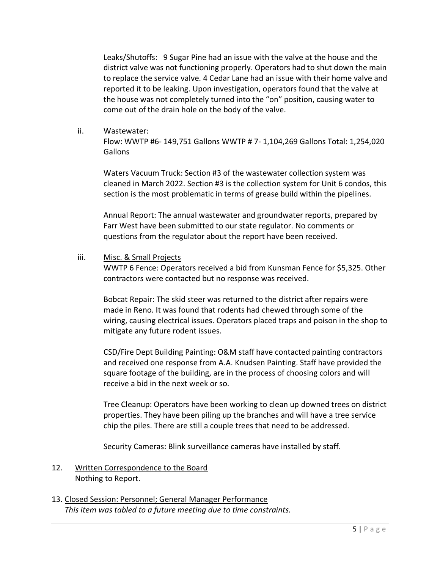Leaks/Shutoffs: 9 Sugar Pine had an issue with the valve at the house and the district valve was not functioning properly. Operators had to shut down the main to replace the service valve. 4 Cedar Lane had an issue with their home valve and reported it to be leaking. Upon investigation, operators found that the valve at the house was not completely turned into the "on" position, causing water to come out of the drain hole on the body of the valve.

ii. Wastewater:

Flow: WWTP #6- 149,751 Gallons WWTP # 7- 1,104,269 Gallons Total: 1,254,020 Gallons

Waters Vacuum Truck: Section #3 of the wastewater collection system was cleaned in March 2022. Section #3 is the collection system for Unit 6 condos, this section is the most problematic in terms of grease build within the pipelines.

Annual Report: The annual wastewater and groundwater reports, prepared by Farr West have been submitted to our state regulator. No comments or questions from the regulator about the report have been received.

iii. Misc. & Small Projects

WWTP 6 Fence: Operators received a bid from Kunsman Fence for \$5,325. Other contractors were contacted but no response was received.

Bobcat Repair: The skid steer was returned to the district after repairs were made in Reno. It was found that rodents had chewed through some of the wiring, causing electrical issues. Operators placed traps and poison in the shop to mitigate any future rodent issues.

CSD/Fire Dept Building Painting: O&M staff have contacted painting contractors and received one response from A.A. Knudsen Painting. Staff have provided the square footage of the building, are in the process of choosing colors and will receive a bid in the next week or so.

Tree Cleanup: Operators have been working to clean up downed trees on district properties. They have been piling up the branches and will have a tree service chip the piles. There are still a couple trees that need to be addressed.

Security Cameras: Blink surveillance cameras have installed by staff.

- 12. Written Correspondence to the Board Nothing to Report.
- 13. Closed Session: Personnel; General Manager Performance *This item was tabled to a future meeting due to time constraints.*